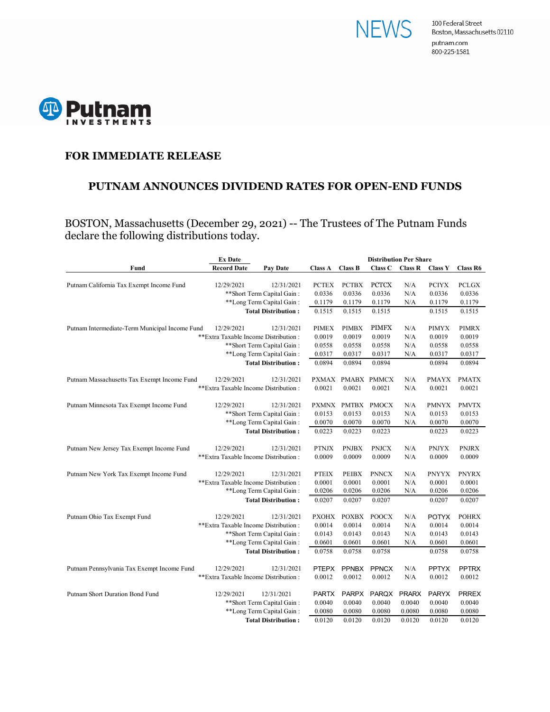



## **FOR IMMEDIATE RELEASE**

#### **PUTNAM ANNOUNCES DIVIDEND RATES FOR OPEN-END FUNDS**

BOSTON, Massachusetts (December 29, 2021) -- The Trustees of The Putnam Funds declare the following distributions today.

|                                                                                                  | <b>Ex Date</b>                        | <b>Distribution Per Share</b> |                |                   |              |                |                |                 |
|--------------------------------------------------------------------------------------------------|---------------------------------------|-------------------------------|----------------|-------------------|--------------|----------------|----------------|-----------------|
| Fund                                                                                             | <b>Record Date</b>                    | <b>Pay Date</b>               | <b>Class A</b> | <b>Class B</b>    | Class C      | <b>Class R</b> | <b>Class Y</b> | <b>Class R6</b> |
|                                                                                                  |                                       |                               |                |                   |              |                |                |                 |
| Putnam California Tax Exempt Income Fund                                                         | 12/29/2021                            | 12/31/2021                    | <b>PCTEX</b>   | <b>PCTBX</b>      | <b>PCTCX</b> | N/A            | <b>PCIYX</b>   | <b>PCLGX</b>    |
|                                                                                                  |                                       | ** Short Term Capital Gain:   | 0.0336         | 0.0336            | 0.0336       | N/A            | 0.0336         | 0.0336          |
| **Long Term Capital Gain:                                                                        |                                       | 0.1179                        | 0.1179         | 0.1179            | N/A          | 0.1179         | 0.1179         |                 |
|                                                                                                  | <b>Total Distribution:</b>            | 0.1515                        | 0.1515         | 0.1515            |              | 0.1515         | 0.1515         |                 |
| Putnam Intermediate-Term Municipal Income Fund                                                   | 12/29/2021                            | 12/31/2021                    | <b>PIMEX</b>   | <b>PIMBX</b>      | <b>PIMFX</b> | N/A            | <b>PIMYX</b>   | <b>PIMRX</b>    |
| **Extra Taxable Income Distribution:<br>** Short Term Capital Gain:<br>**Long Term Capital Gain: |                                       | 0.0019                        | 0.0019         | 0.0019            | N/A          | 0.0019         | 0.0019         |                 |
|                                                                                                  |                                       |                               | 0.0558         | 0.0558            | 0.0558       | N/A            | 0.0558         | 0.0558          |
|                                                                                                  |                                       | 0.0317                        | 0.0317         | 0.0317            | N/A          | 0.0317         | 0.0317         |                 |
| <b>Total Distribution:</b>                                                                       |                                       |                               | 0.0894         | 0.0894            | 0.0894       |                | 0.0894         | 0.0894          |
|                                                                                                  |                                       |                               |                |                   |              |                |                |                 |
| Putnam Massachusetts Tax Exempt Income Fund                                                      | 12/29/2021                            | 12/31/2021                    |                | PXMAX PMABX PMMCX |              | N/A            | <b>PMAYX</b>   | <b>PMATX</b>    |
|                                                                                                  | **Extra Taxable Income Distribution : |                               | 0.0021         | 0.0021            | 0.0021       | N/A            | 0.0021         | 0.0021          |
| Putnam Minnesota Tax Exempt Income Fund                                                          | 12/29/2021                            | 12/31/2021                    | <b>PXMNX</b>   | PMTBX             | <b>PMOCX</b> | N/A            | <b>PMNYX</b>   | <b>PMVTX</b>    |
|                                                                                                  |                                       | ** Short Term Capital Gain:   | 0.0153         | 0.0153            | 0.0153       | N/A            | 0.0153         | 0.0153          |
| **Long Term Capital Gain:                                                                        |                                       |                               | 0.0070         | 0.0070            | 0.0070       | N/A            | 0.0070         | 0.0070          |
|                                                                                                  |                                       | <b>Total Distribution:</b>    | 0.0223         | 0.0223            | 0.0223       |                | 0.0223         | 0.0223          |
| Putnam New Jersey Tax Exempt Income Fund                                                         | 12/29/2021                            | 12/31/2021                    | <b>PTNJX</b>   | <b>PNJBX</b>      | <b>PNJCX</b> | N/A            | <b>PNJYX</b>   | <b>PNJRX</b>    |
|                                                                                                  | **Extra Taxable Income Distribution:  |                               | 0.0009         | 0.0009            | 0.0009       | N/A            | 0.0009         | 0.0009          |
|                                                                                                  |                                       |                               |                |                   |              |                |                |                 |
| Putnam New York Tax Exempt Income Fund                                                           | 12/29/2021                            | 12/31/2021                    | <b>PTEIX</b>   | <b>PEIBX</b>      | <b>PNNCX</b> | N/A            | <b>PNYYX</b>   | <b>PNYRX</b>    |
|                                                                                                  | **Extra Taxable Income Distribution : |                               | 0.0001         | 0.0001            | 0.0001       | N/A            | 0.0001         | 0.0001          |
| **Long Term Capital Gain:                                                                        |                                       | 0.0206                        | 0.0206         | 0.0206            | N/A          | 0.0206         | 0.0206         |                 |
| <b>Total Distribution:</b>                                                                       |                                       |                               | 0.0207         | 0.0207            | 0.0207       |                | 0.0207         | 0.0207          |
| Putnam Ohio Tax Exempt Fund                                                                      | 12/29/2021                            | 12/31/2021                    | <b>PXOHX</b>   | <b>POXBX</b>      | <b>POOCX</b> | N/A            | <b>POTYX</b>   | <b>POHRX</b>    |
|                                                                                                  | ** Extra Taxable Income Distribution: |                               | 0.0014         | 0.0014            | 0.0014       | N/A            | 0.0014         | 0.0014          |
|                                                                                                  | ** Short Term Capital Gain:           |                               | 0.0143         | 0.0143            | 0.0143       | N/A            | 0.0143         | 0.0143          |
|                                                                                                  | **Long Term Capital Gain:             |                               | 0.0601         | 0.0601            | 0.0601       | N/A            | 0.0601         | 0.0601          |
|                                                                                                  | <b>Total Distribution:</b>            |                               | 0.0758         | 0.0758            | 0.0758       |                | 0.0758         | 0.0758          |
|                                                                                                  |                                       |                               |                |                   |              |                |                |                 |
| Putnam Pennsylvania Tax Exempt Income Fund                                                       | 12/29/2021                            | 12/31/2021                    | <b>PTEPX</b>   | <b>PPNBX</b>      | <b>PPNCX</b> | N/A            | <b>PPTYX</b>   | <b>PPTRX</b>    |
|                                                                                                  | ** Extra Taxable Income Distribution: |                               | 0.0012         | 0.0012            | 0.0012       | N/A            | 0.0012         | 0.0012          |
| Putnam Short Duration Bond Fund                                                                  | 12/29/2021                            | 12/31/2021                    | <b>PARTX</b>   | <b>PARPX</b>      | <b>PARQX</b> | <b>PRARX</b>   | <b>PARYX</b>   | <b>PRREX</b>    |
|                                                                                                  |                                       | ** Short Term Capital Gain:   | 0.0040         | 0.0040            | 0.0040       | 0.0040         | 0.0040         | 0.0040          |
|                                                                                                  | **Long Term Capital Gain:             |                               | 0.0080         | 0.0080            | 0.0080       | 0.0080         | 0.0080         | 0.0080          |
| <b>Total Distribution:</b>                                                                       |                                       |                               | 0.0120         | 0.0120            | 0.0120       | 0.0120         | 0.0120         | 0.0120          |